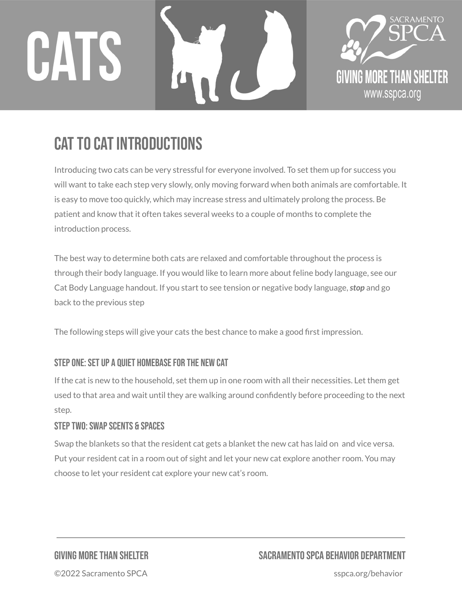# CATS





## CAT TO CAT INTRODUCTIONS

Introducing two cats can be very stressful for everyone involved. To set them up for success you will want to take each step very slowly, only moving forward when both animals are comfortable. It is easy to move too quickly, which may increase stress and ultimately prolong the process. Be patient and know that it often takes several weeks to a couple of months to complete the introduction process.

The best way to determine both cats are relaxed and comfortable throughout the process is through their body language. If you would like to learn more about feline body language, see our Cat Body Language handout. If you start to see tension or negative body language,*stop* and go back to the previous step

The following steps will give your cats the best chance to make a good first impression.

#### STEP ONE: SET UP A QUIET HOMEBASE FOR THE NEW CAT

If the cat is new to the household, set them up in one room with all their necessities. Let them get used to that area and wait until they are walking around confidently before proceeding to the next step.

#### STEP TWO: SWAP SCENTS & SPACES

Swap the blankets so that the resident cat gets a blanket the new cat has laid on and vice versa. Put your resident cat in a room out of sight and let your new cat explore another room. You may choose to let your resident cat explore your new cat's room.

### GIVING MORETHAN SHELTER SACRAMENTO SPCA BEHAVIOR DEPARTMENT

©2022 Sacramento SPCA sspca.org/behavior